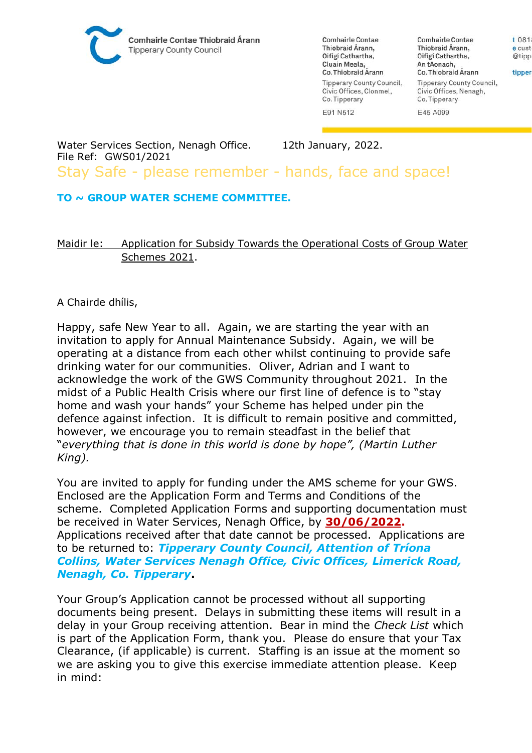

**Comhairle Contae** Thiobraid Árann, Oifigí Cathartha. Cluain Meala, Co. Thiobraid Árann Tipperary County Council, Civic Offices, Clonmel, Co. Tipperary

**Comhairle Contae** Thiobraid Árann, Oifigí Cathartha. An tAonach, Co. Thiobraid Árann Tipperary County Council, Civic Offices, Nenagh, Co. Tipperary

E91 N512

E45 A099

Water Services Section, Nenagh Office. 12th January, 2022. File Ref: GWS01/2021 Stay Safe - please remember - hands, face and space!

## **TO ~ GROUP WATER SCHEME COMMITTEE.**

## Maidir le: Application for Subsidy Towards the Operational Costs of Group Water Schemes 2021.

## A Chairde dhílis,

Happy, safe New Year to all. Again, we are starting the year with an invitation to apply for Annual Maintenance Subsidy. Again, we will be operating at a distance from each other whilst continuing to provide safe drinking water for our communities. Oliver, Adrian and I want to acknowledge the work of the GWS Community throughout 2021. In the midst of a Public Health Crisis where our first line of defence is to "stay home and wash your hands" your Scheme has helped under pin the defence against infection. It is difficult to remain positive and committed, however, we encourage you to remain steadfast in the belief that "*everything that is done in this world is done by hope", (Martin Luther King).*

You are invited to apply for funding under the AMS scheme for your GWS. Enclosed are the Application Form and Terms and Conditions of the scheme. Completed Application Forms and supporting documentation must be received in Water Services, Nenagh Office, by **30/06/2022.**  Applications received after that date cannot be processed. Applications are to be returned to: *Tipperary County Council, Attention of Tríona Collins, Water Services Nenagh Office, Civic Offices, Limerick Road, Nenagh, Co. Tipperary***.**

Your Group's Application cannot be processed without all supporting documents being present. Delays in submitting these items will result in a delay in your Group receiving attention. Bear in mind the *Check List* which is part of the Application Form, thank you. Please do ensure that your Tax Clearance, (if applicable) is current. Staffing is an issue at the moment so we are asking you to give this exercise immediate attention please. Keep in mind:

e cust @tipp tipper

t 081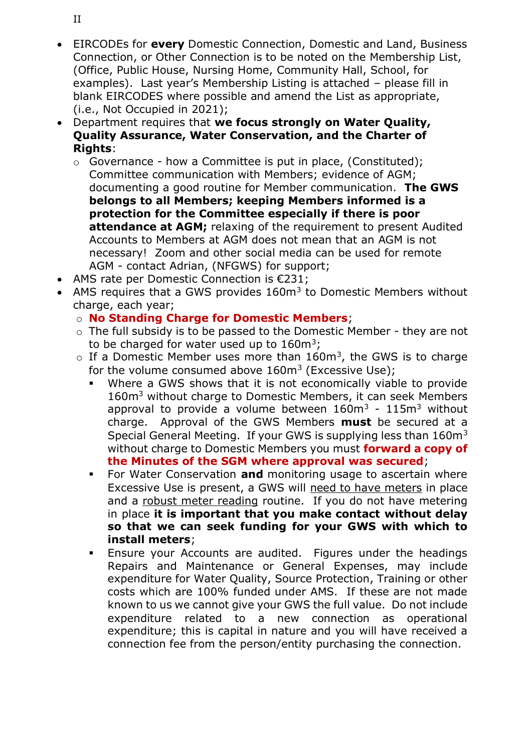- EIRCODEs for **every** Domestic Connection, Domestic and Land, Business Connection, or Other Connection is to be noted on the Membership List, (Office, Public House, Nursing Home, Community Hall, School, for examples). Last year's Membership Listing is attached – please fill in blank EIRCODES where possible and amend the List as appropriate, (i.e., Not Occupied in 2021);
- Department requires that **we focus strongly on Water Quality, Quality Assurance, Water Conservation, and the Charter of Rights**:
	- o Governance how a Committee is put in place, (Constituted); Committee communication with Members; evidence of AGM; documenting a good routine for Member communication. **The GWS belongs to all Members; keeping Members informed is a protection for the Committee especially if there is poor attendance at AGM;** relaxing of the requirement to present Audited Accounts to Members at AGM does not mean that an AGM is not necessary! Zoom and other social media can be used for remote AGM - contact Adrian, (NFGWS) for support;
- AMS rate per Domestic Connection is €231;
- AMS requires that a GWS provides  $160m<sup>3</sup>$  to Domestic Members without charge, each year;
	- o **No Standing Charge for Domestic Members**;
	- o The full subsidy is to be passed to the Domestic Member they are not to be charged for water used up to  $160m^3$ ;
	- $\circ$  If a Domestic Member uses more than 160m<sup>3</sup>, the GWS is to charge for the volume consumed above  $160m^3$  (Excessive Use);
		- Where a GWS shows that it is not economically viable to provide 160m<sup>3</sup> without charge to Domestic Members, it can seek Members approval to provide a volume between  $160m^3 - 115m^3$  without charge. Approval of the GWS Members **must** be secured at a Special General Meeting. If your GWS is supplying less than  $160m<sup>3</sup>$ without charge to Domestic Members you must **forward a copy of the Minutes of the SGM where approval was secured**;
		- **EXECO** For Water Conservation **and** monitoring usage to ascertain where Excessive Use is present, a GWS will need to have meters in place and a robust meter reading routine. If you do not have metering in place **it is important that you make contact without delay so that we can seek funding for your GWS with which to install meters**;
		- **Ensure your Accounts are audited. Figures under the headings** Repairs and Maintenance or General Expenses, may include expenditure for Water Quality, Source Protection, Training or other costs which are 100% funded under AMS. If these are not made known to us we cannot give your GWS the full value. Do not include expenditure related to a new connection as operational expenditure; this is capital in nature and you will have received a connection fee from the person/entity purchasing the connection.